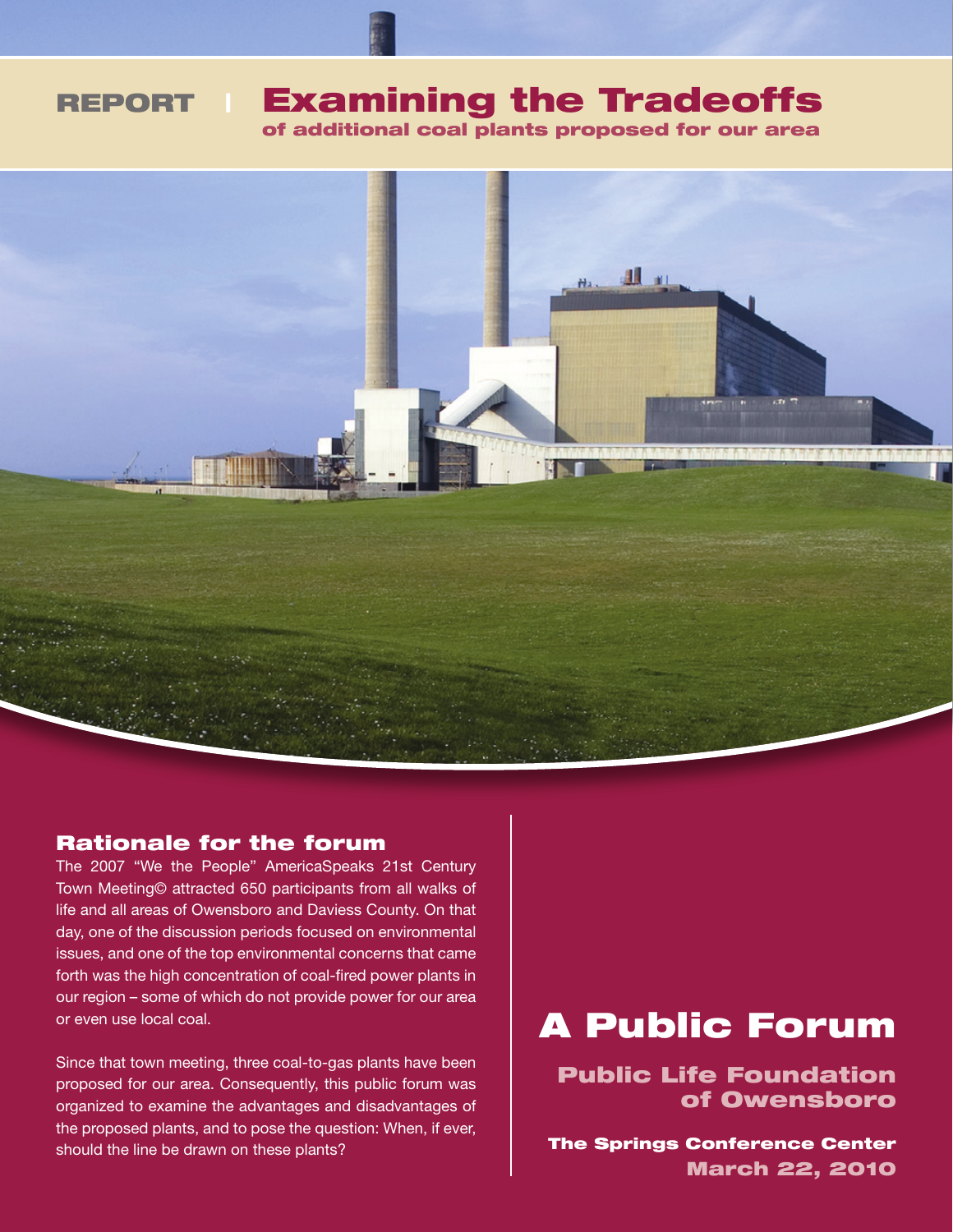of additional coal plants proposed for our area



#### Rationale for the forum

The 2007 "We the People" AmericaSpeaks 21st Century Town Meeting© attracted 650 participants from all walks of life and all areas of Owensboro and Daviess County. On that day, one of the discussion periods focused on environmental issues, and one of the top environmental concerns that came forth was the high concentration of coal-fired power plants in our region – some of which do not provide power for our area or even use local coal.

Since that town meeting, three coal-to-gas plants have been proposed for our area. Consequently, this public forum was organized to examine the advantages and disadvantages of the proposed plants, and to pose the question: When, if ever, should the line be drawn on these plants?

# A Public Forum

Public Life Foundation of Owensboro

The Springs Conference Center March 22, 2010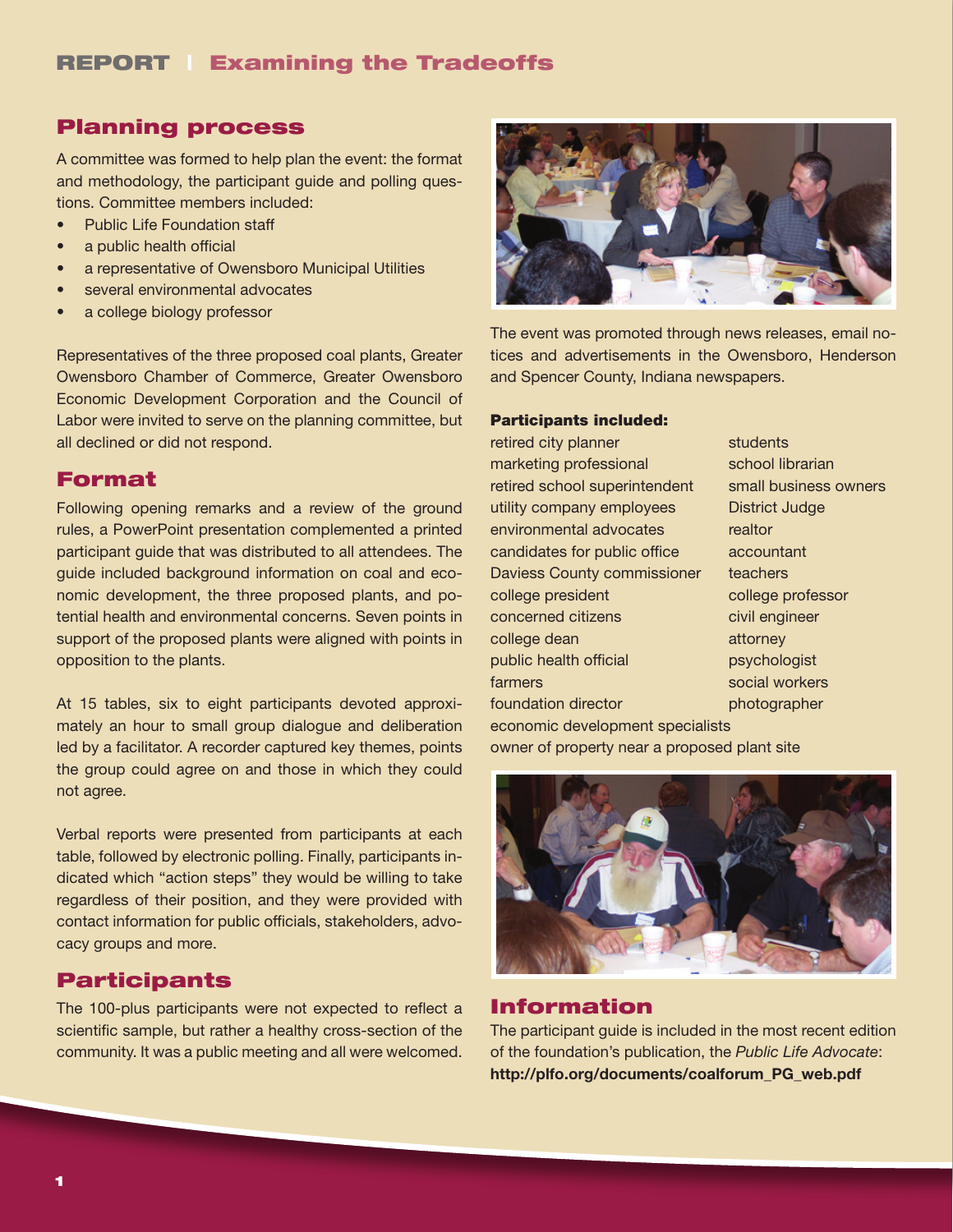### Planning process

A committee was formed to help plan the event: the format and methodology, the participant guide and polling questions. Committee members included:

- Public Life Foundation staff
- a public health official
- a representative of Owensboro Municipal Utilities
- several environmental advocates
- a college biology professor

Representatives of the three proposed coal plants, Greater Owensboro Chamber of Commerce, Greater Owensboro Economic Development Corporation and the Council of Labor were invited to serve on the planning committee, but all declined or did not respond.

### Format

Following opening remarks and a review of the ground rules, a PowerPoint presentation complemented a printed participant guide that was distributed to all attendees. The guide included background information on coal and economic development, the three proposed plants, and potential health and environmental concerns. Seven points in support of the proposed plants were aligned with points in opposition to the plants.

At 15 tables, six to eight participants devoted approximately an hour to small group dialogue and deliberation led by a facilitator. A recorder captured key themes, points the group could agree on and those in which they could not agree.

Verbal reports were presented from participants at each table, followed by electronic polling. Finally, participants indicated which "action steps" they would be willing to take regardless of their position, and they were provided with contact information for public officials, stakeholders, advocacy groups and more.

### Participants

The 100-plus participants were not expected to reflect a scientific sample, but rather a healthy cross-section of the community. It was a public meeting and all were welcomed.



The event was promoted through news releases, email notices and advertisements in the Owensboro, Henderson and Spencer County, Indiana newspapers.

#### Participants included:

retired city planner students marketing professional school librarian retired school superintendent small business owners utility company employees District Judge environmental advocates realtor candidates for public office accountant Daviess County commissioner teachers college president college professor concerned citizens civil engineer college dean attorney public health official psychologist farmers social workers foundation director **photographer** economic development specialists

owner of property near a proposed plant site



#### Information

The participant guide is included in the most recent edition of the foundation's publication, the *Public Life Advocate*: http://plfo.org/documents/coalforum\_PG\_web.pdf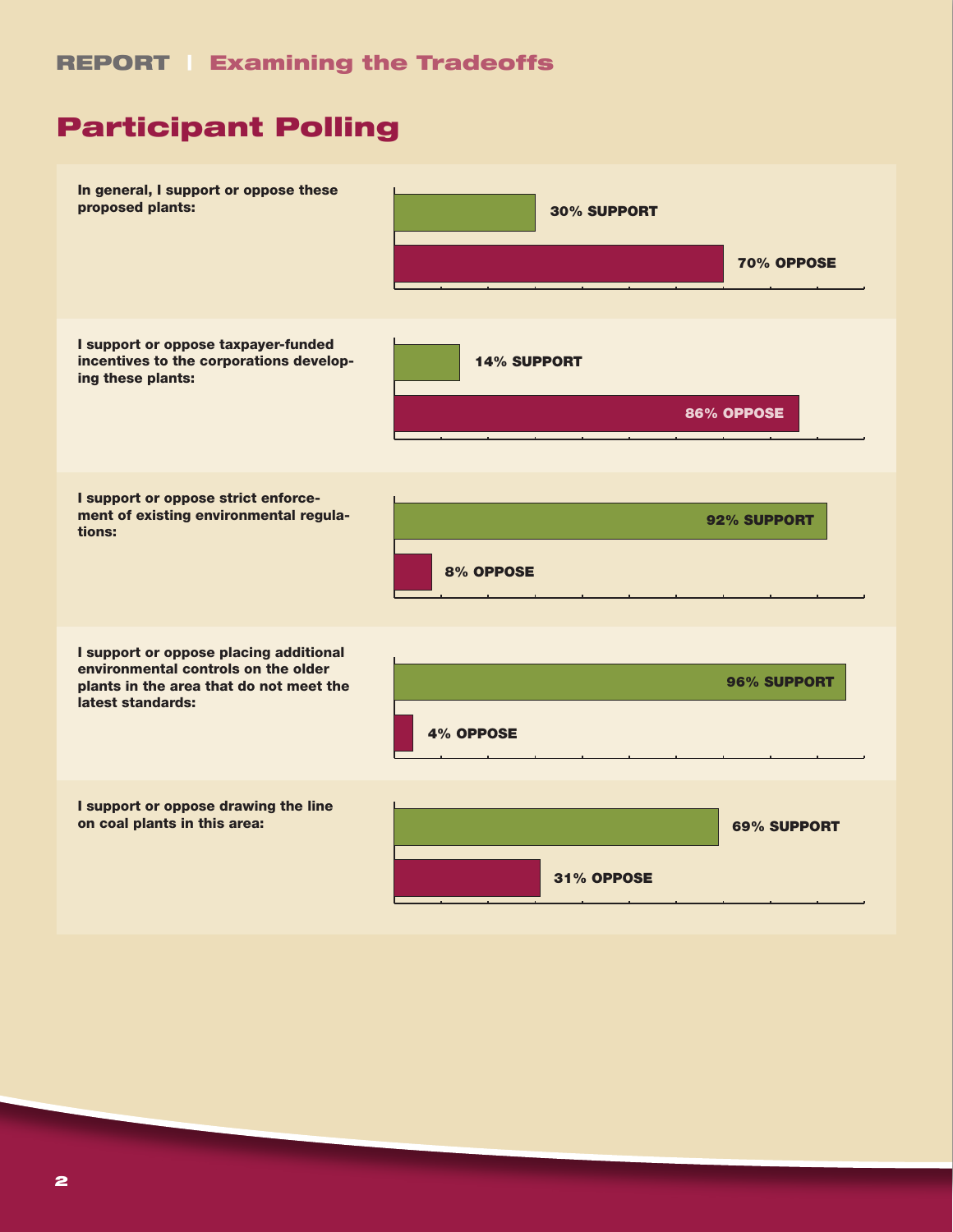## Participant Polling

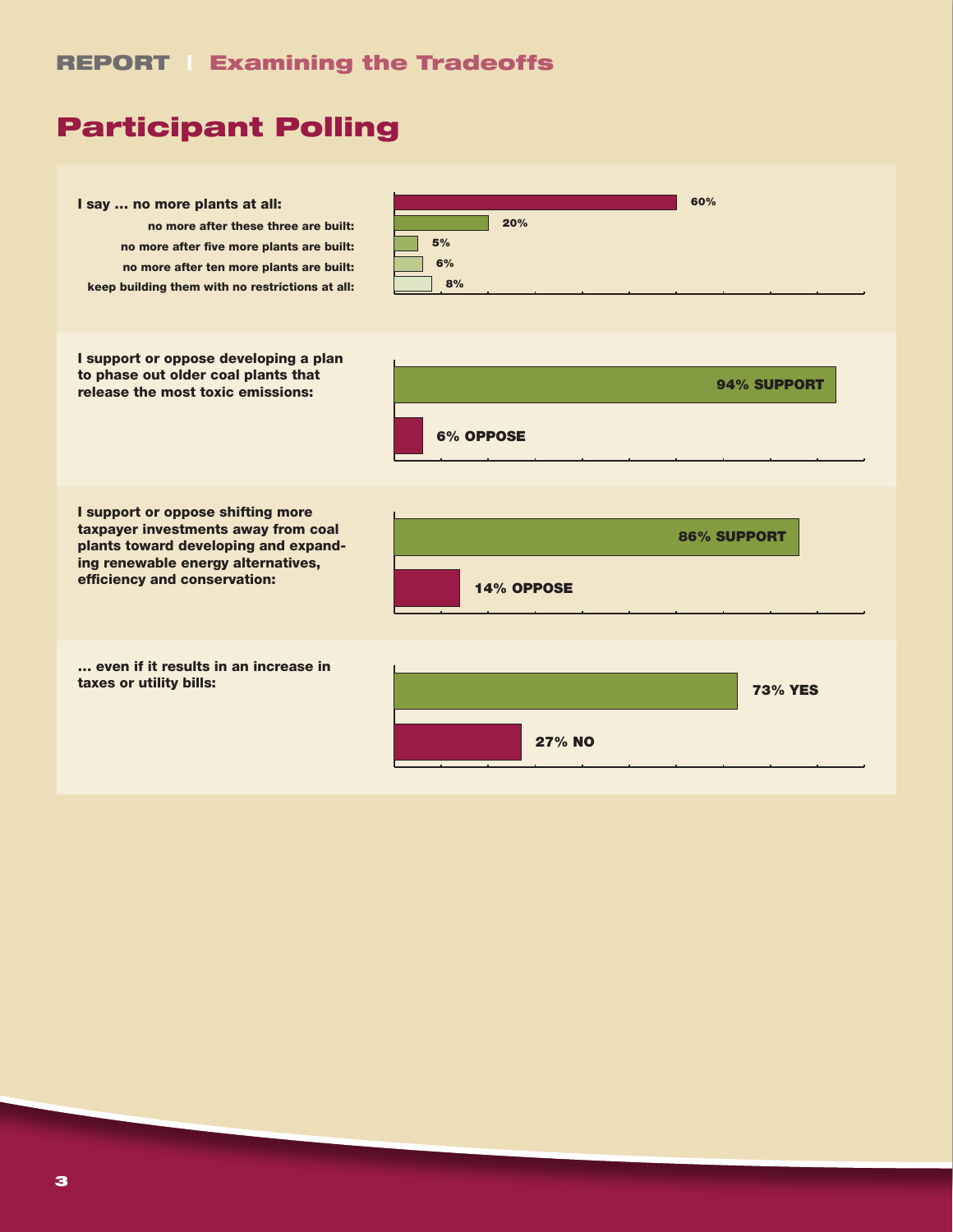## Participant Polling

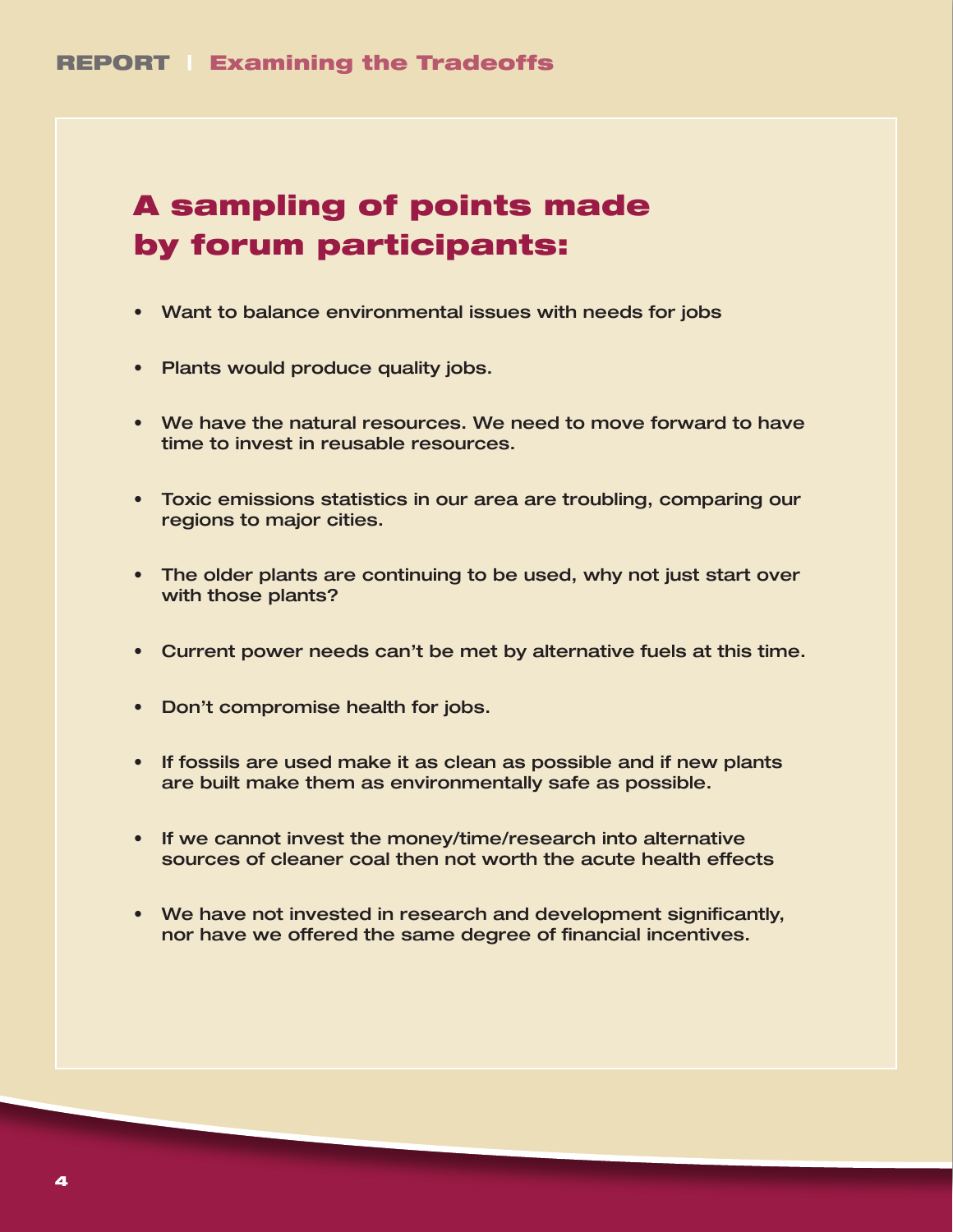## A sampling of points made by forum participants:

- • Want to balance environmental issues with needs for jobs
- Plants would produce quality jobs.
- We have the natural resources. We need to move forward to have time to invest in reusable resources.
- • Toxic emissions statistics in our area are troubling, comparing our regions to major cities.
- The older plants are continuing to be used, why not just start over with those plants?
- • Current power needs can't be met by alternative fuels at this time.
- Don't compromise health for jobs.
- If fossils are used make it as clean as possible and if new plants are built make them as environmentally safe as possible.
- If we cannot invest the money/time/research into alternative sources of cleaner coal then not worth the acute health effects
- We have not invested in research and development significantly, nor have we offered the same degree of financial incentives.